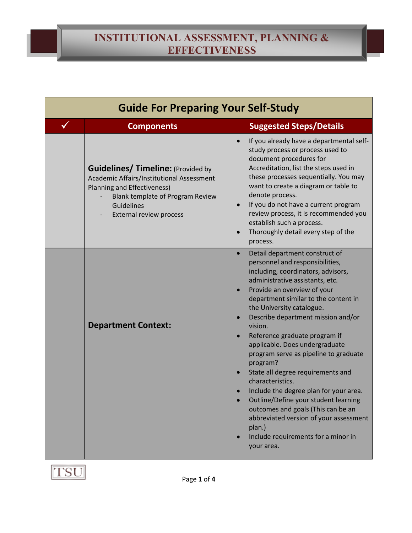| <b>Guide For Preparing Your Self-Study</b> |                                                                                                                                                                                                                         |                                                                                                                                                                                                                                                                                                                                                                                                                                                                                                                                                                                                                                                                                                                                             |  |  |
|--------------------------------------------|-------------------------------------------------------------------------------------------------------------------------------------------------------------------------------------------------------------------------|---------------------------------------------------------------------------------------------------------------------------------------------------------------------------------------------------------------------------------------------------------------------------------------------------------------------------------------------------------------------------------------------------------------------------------------------------------------------------------------------------------------------------------------------------------------------------------------------------------------------------------------------------------------------------------------------------------------------------------------------|--|--|
| ✓                                          | <b>Components</b>                                                                                                                                                                                                       | <b>Suggested Steps/Details</b>                                                                                                                                                                                                                                                                                                                                                                                                                                                                                                                                                                                                                                                                                                              |  |  |
|                                            | <b>Guidelines/ Timeline: (Provided by</b><br>Academic Affairs/Institutional Assessment<br><b>Planning and Effectiveness)</b><br><b>Blank template of Program Review</b><br>Guidelines<br><b>External review process</b> | If you already have a departmental self-<br>$\bullet$<br>study process or process used to<br>document procedures for<br>Accreditation, list the steps used in<br>these processes sequentially. You may<br>want to create a diagram or table to<br>denote process.<br>If you do not have a current program<br>$\bullet$<br>review process, it is recommended you<br>establish such a process.<br>Thoroughly detail every step of the<br>$\bullet$<br>process.                                                                                                                                                                                                                                                                                |  |  |
|                                            | <b>Department Context:</b>                                                                                                                                                                                              | Detail department construct of<br>$\bullet$<br>personnel and responsibilities,<br>including, coordinators, advisors,<br>administrative assistants, etc.<br>Provide an overview of your<br>$\bullet$<br>department similar to the content in<br>the University catalogue.<br>Describe department mission and/or<br>vision.<br>Reference graduate program if<br>applicable. Does undergraduate<br>program serve as pipeline to graduate<br>program?<br>State all degree requirements and<br>characteristics.<br>Include the degree plan for your area.<br>Outline/Define your student learning<br>outcomes and goals (This can be an<br>abbreviated version of your assessment<br>plan.)<br>Include requirements for a minor in<br>your area. |  |  |

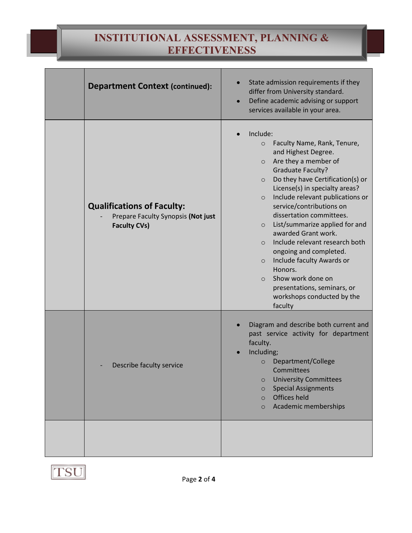## **INSTITUTIONAL ASSESSMENT, PLANNING & EFFECTIVENESS**

| <b>Department Context (continued):</b>                                                         | State admission requirements if they<br>differ from University standard.<br>Define academic advising or support<br>$\bullet$<br>services available in your area.                                                                                                                                                                                                                                                                                                                                                                                                                                                                       |
|------------------------------------------------------------------------------------------------|----------------------------------------------------------------------------------------------------------------------------------------------------------------------------------------------------------------------------------------------------------------------------------------------------------------------------------------------------------------------------------------------------------------------------------------------------------------------------------------------------------------------------------------------------------------------------------------------------------------------------------------|
| <b>Qualifications of Faculty:</b><br>Prepare Faculty Synopsis (Not just<br><b>Faculty CVs)</b> | Include:<br>Faculty Name, Rank, Tenure,<br>$\circ$<br>and Highest Degree.<br>Are they a member of<br>$\circ$<br><b>Graduate Faculty?</b><br>Do they have Certification(s) or<br>$\circ$<br>License(s) in specialty areas?<br>Include relevant publications or<br>$\circ$<br>service/contributions on<br>dissertation committees.<br>List/summarize applied for and<br>$\circ$<br>awarded Grant work.<br>Include relevant research both<br>$\circ$<br>ongoing and completed.<br>Include faculty Awards or<br>$\circ$<br>Honors.<br>Show work done on<br>$\circ$<br>presentations, seminars, or<br>workshops conducted by the<br>faculty |
| Describe faculty service                                                                       | Diagram and describe both current and<br>past service activity for department<br>faculty.<br>Including;<br>Department/College<br>$\circ$<br>Committees<br><b>University Committees</b><br>$\circ$<br><b>Special Assignments</b><br>$\circ$<br><b>Offices held</b><br>$\circ$<br>Academic memberships<br>$\circ$                                                                                                                                                                                                                                                                                                                        |
|                                                                                                |                                                                                                                                                                                                                                                                                                                                                                                                                                                                                                                                                                                                                                        |

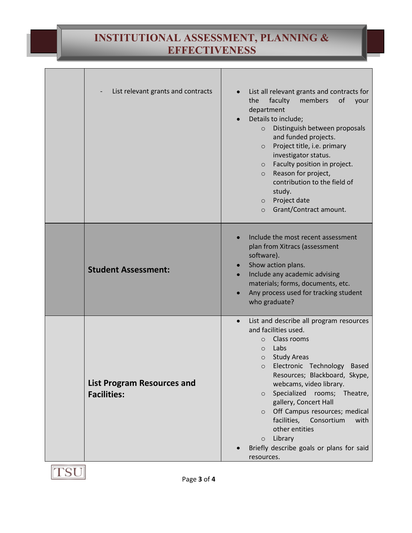## **INSTITUTIONAL ASSESSMENT, PLANNING & EFFECTIVENESS**

|                            | List relevant grants and contracts | List all relevant grants and contracts for<br>of<br>the<br>faculty<br>members<br>your<br>department<br>Details to include;<br>Distinguish between proposals<br>$\circ$<br>and funded projects.<br>Project title, i.e. primary<br>$\circ$<br>investigator status.<br>Faculty position in project.<br>$\circ$<br>Reason for project,<br>$\circ$<br>contribution to the field of<br>study.<br>Project date<br>$\circ$<br>Grant/Contract amount.<br>$\circ$                                                                |
|----------------------------|------------------------------------|------------------------------------------------------------------------------------------------------------------------------------------------------------------------------------------------------------------------------------------------------------------------------------------------------------------------------------------------------------------------------------------------------------------------------------------------------------------------------------------------------------------------|
| <b>Student Assessment:</b> |                                    | Include the most recent assessment<br>plan from Xitracs (assessment<br>software).<br>Show action plans.<br>Include any academic advising<br>materials; forms, documents, etc.<br>Any process used for tracking student<br>who graduate?                                                                                                                                                                                                                                                                                |
| <b>Facilities:</b>         | <b>List Program Resources and</b>  | List and describe all program resources<br>and facilities used.<br>Class rooms<br>$\circ$<br>Labs<br>$\circ$<br><b>Study Areas</b><br>$\circ$<br>Electronic Technology<br><b>Based</b><br>$\circ$<br>Resources; Blackboard, Skype,<br>webcams, video library.<br>Specialized<br>rooms; Theatre,<br>$\circ$<br>gallery, Concert Hall<br>Off Campus resources; medical<br>$\circ$<br>facilities,<br>Consortium<br>with<br>other entities<br>Library<br>$\circ$<br>Briefly describe goals or plans for said<br>resources. |